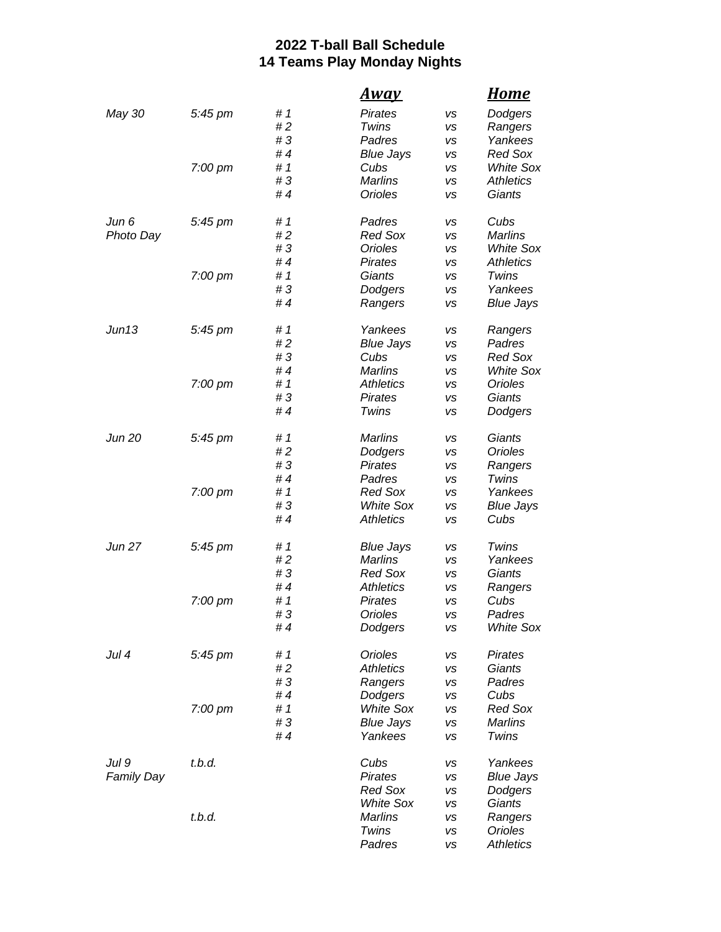## **2022 T-ball Ball Schedule 14 Teams Play Monday Nights**

|                   |                   |     | <u>Away</u>      |    | <u>Home</u>      |
|-------------------|-------------------|-----|------------------|----|------------------|
| May 30            | 5:45 pm           | #1  | <b>Pirates</b>   | VS | Dodgers          |
|                   |                   | #2  | Twins            | vs | Rangers          |
|                   |                   | #3  | Padres           | vs | Yankees          |
|                   |                   | #4  | <b>Blue Jays</b> | vs | <b>Red Sox</b>   |
|                   | 7:00 pm           | #1  | Cubs             | vs | <b>White Sox</b> |
|                   |                   | #3  | <b>Marlins</b>   | vs | <b>Athletics</b> |
|                   |                   | #4  | <b>Orioles</b>   | vs | Giants           |
| Jun 6             | 5:45 pm           | #1  | Padres           | vs | Cubs             |
| Photo Day         |                   | #2  | <b>Red Sox</b>   | VS | <b>Marlins</b>   |
|                   |                   | #3  | <b>Orioles</b>   | vs | <b>White Sox</b> |
|                   |                   | #4  | Pirates          | vs | <b>Athletics</b> |
|                   | 7:00 pm           | #1  | Giants           | vs | Twins            |
|                   |                   | #3  | Dodgers          | vs | Yankees          |
|                   |                   | #4  | Rangers          | VS | <b>Blue Jays</b> |
| Jun13             | 5:45 pm           | # 1 | Yankees          | vs | Rangers          |
|                   |                   | #2  | <b>Blue Jays</b> | vs | Padres           |
|                   |                   | #3  | Cubs             | vs | <b>Red Sox</b>   |
|                   |                   | #4  | <b>Marlins</b>   | vs | <b>White Sox</b> |
|                   | 7:00 pm           | #1  | <b>Athletics</b> | vs | Orioles          |
|                   |                   | #3  | Pirates          | vs | Giants           |
|                   |                   | #4  | Twins            | vs | Dodgers          |
| Jun 20            | 5:45 pm           | #1  | <b>Marlins</b>   | vs | Giants           |
|                   |                   | #2  | Dodgers          | vs | <b>Orioles</b>   |
|                   |                   | #3  | Pirates          | vs | Rangers          |
|                   |                   | #4  | Padres           | vs | Twins            |
|                   | 7:00 pm           | #1  | <b>Red Sox</b>   | vs | Yankees          |
|                   |                   | #3  | <b>White Sox</b> | vs | <b>Blue Jays</b> |
|                   |                   | #4  | <b>Athletics</b> | vs | Cubs             |
| <b>Jun 27</b>     | 5:45 pm           | # 1 | <b>Blue Jays</b> | vs | Twins            |
|                   |                   | #2  | <b>Marlins</b>   | vs | Yankees          |
|                   |                   | #3  | <b>Red Sox</b>   | vs | Giants           |
|                   |                   | #4  | <b>Athletics</b> | vs | Rangers          |
|                   | 7:00 pm           | #1  | Pirates          | vs | Cubs             |
|                   |                   | #3  | Orioles          | VS | Padres           |
|                   |                   | #4  | Dodgers          | vs | White Sox        |
| Jul 4             | $5:45 \text{ pm}$ | #1  | Orioles          | vs | Pirates          |
|                   |                   | #2  | <b>Athletics</b> | vs | Giants           |
|                   |                   | #3  | Rangers          | vs | Padres           |
|                   |                   | #4  | Dodgers          | vs | Cubs             |
|                   | 7:00 pm           | #1  | <b>White Sox</b> | vs | <b>Red Sox</b>   |
|                   |                   | #3  | <b>Blue Jays</b> | vs | <b>Marlins</b>   |
|                   |                   | #4  | Yankees          | vs | Twins            |
| Jul 9             | t.b.d.            |     | Cubs             | vs | Yankees          |
| <b>Family Day</b> |                   |     | <b>Pirates</b>   | vs | <b>Blue Jays</b> |
|                   |                   |     | <b>Red Sox</b>   | vs | Dodgers          |
|                   |                   |     | <b>White Sox</b> | vs | Giants           |
|                   | t.b.d.            |     | Marlins          | vs | Rangers          |
|                   |                   |     | Twins            | vs | <b>Orioles</b>   |
|                   |                   |     | Padres           | VS | <b>Athletics</b> |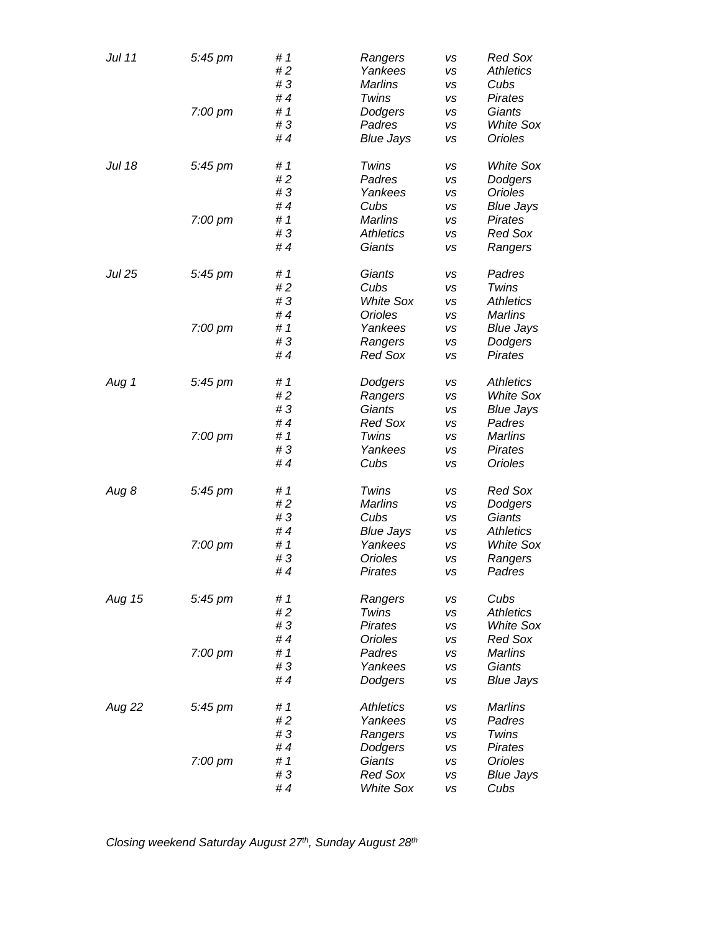| Jul 11        | 5:45 pm           | #1<br>#2 | Rangers<br>Yankees | VS<br>vs  | <b>Red Sox</b><br><b>Athletics</b> |
|---------------|-------------------|----------|--------------------|-----------|------------------------------------|
|               |                   | #3       | <b>Marlins</b>     | VS        | Cubs                               |
|               |                   | #4       | Twins              | <b>VS</b> | Pirates                            |
|               | 7:00 pm           | #1       | Dodgers            | <b>VS</b> | Giants                             |
|               |                   | #3       | Padres             | vs        | <b>White Sox</b>                   |
|               |                   | #4       | <b>Blue Jays</b>   | VS        | Orioles                            |
|               |                   |          |                    |           |                                    |
| Jul 18        | 5:45 pm           | #1<br>#2 | Twins              | VS        | <b>White Sox</b>                   |
|               |                   |          | Padres             | VS        | Dodgers                            |
|               |                   | #3       | Yankees            | vs        | <b>Orioles</b>                     |
|               |                   | #4       | Cubs               | VS        | <b>Blue Jays</b>                   |
|               | $7:00$ pm         | #1       | <b>Marlins</b>     | <b>VS</b> | Pirates                            |
|               |                   | #3       | <b>Athletics</b>   | vs        | <b>Red Sox</b>                     |
|               |                   | #4       | Giants             | <b>VS</b> | Rangers                            |
| <b>Jul 25</b> | 5:45 pm           | # 1      | Giants             | vs        | Padres                             |
|               |                   | #2       | Cubs               | vs        | Twins                              |
|               |                   | #3       | <b>White Sox</b>   | VS        | <b>Athletics</b>                   |
|               |                   | #4       | Orioles            | vs        | <b>Marlins</b>                     |
|               | 7:00 pm           | #1       | Yankees            | <b>VS</b> | <b>Blue Jays</b>                   |
|               |                   |          |                    |           |                                    |
|               |                   | #3       | Rangers            | vs        | Dodgers                            |
|               |                   | #4       | <b>Red Sox</b>     | <b>VS</b> | <b>Pirates</b>                     |
| Aug 1         | 5:45 pm           | #1       | Dodgers            | VS        | <b>Athletics</b>                   |
|               |                   | #2       | Rangers            | vs        | <b>White Sox</b>                   |
|               |                   | #3       | Giants             | vs        | <b>Blue Jays</b>                   |
|               |                   | #4       | <b>Red Sox</b>     | vs        | Padres                             |
|               | 7:00 pm           | #1       | Twins              | <b>VS</b> | <b>Marlins</b>                     |
|               |                   | #3       | Yankees            | <b>VS</b> | Pirates                            |
|               |                   | #4       | Cubs               | VS        | <b>Orioles</b>                     |
|               |                   |          |                    |           |                                    |
| Aug 8         | 5:45 pm           | # 1      | Twins              | VS        | <b>Red Sox</b>                     |
|               |                   | #2       | <b>Marlins</b>     | VS        | Dodgers                            |
|               |                   | #3       | Cubs               | vs        | Giants                             |
|               |                   | #4       | <b>Blue Jays</b>   | vs        | <b>Athletics</b>                   |
|               | 7:00 pm           | #1       | Yankees            | VS        | <b>White Sox</b>                   |
|               |                   | #3       | <b>Orioles</b>     | vs        | Rangers                            |
|               |                   | #4       | <b>Pirates</b>     | <b>VS</b> | Padres                             |
| Aug 15        | $5:45$ pm         | #1       | Rangers            | vs        | Cubs                               |
|               |                   | #2       | Twins              | vs        | <b>Athletics</b>                   |
|               |                   | #3       | Pirates            | VS        | <b>White Sox</b>                   |
|               |                   | #4       | Orioles            | vs        | <b>Red Sox</b>                     |
|               |                   | #1       |                    |           | Marlins                            |
|               | $7:00 \text{ pm}$ |          | Padres             | <b>VS</b> |                                    |
|               |                   | #3       | Yankees            | <b>VS</b> | Giants                             |
|               |                   | #4       | Dodgers            | vs        | <b>Blue Jays</b>                   |
| Aug 22        | 5:45 pm           | #1       | <b>Athletics</b>   | VS        | Marlins                            |
|               |                   | #2       | Yankees            | vs        | Padres                             |
|               |                   | #3       | Rangers            | vs        | Twins                              |
|               |                   | #4       | Dodgers            | VS        | Pirates                            |
|               | 7:00 pm           | #1       | Giants             | vs        | Orioles                            |
|               |                   | #3       | <b>Red Sox</b>     | vs        | <b>Blue Jays</b>                   |
|               |                   | #4       | <b>White Sox</b>   | VS        | Cubs                               |
|               |                   |          |                    |           |                                    |

*Closing weekend Saturday August 27th, Sunday August 28th*